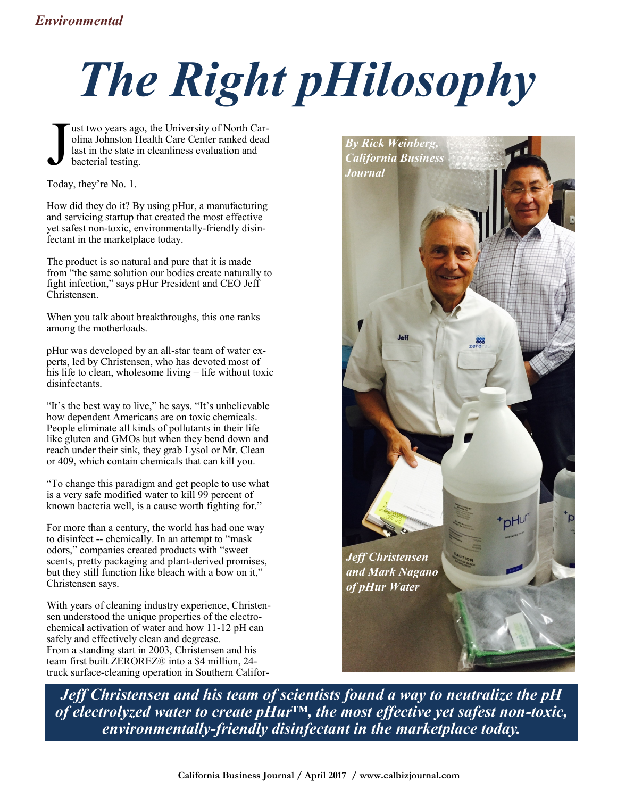## *The Right pHilosophy*

J ust two years ago, the University of North Carolina Johnston Health Care Center ranked dead last in the state in cleanliness evaluation and bacterial testing.

Today, they're No. 1.

How did they do it? By using pHur, a manufacturing and servicing startup that created the most effective yet safest non-toxic, environmentally-friendly disinfectant in the marketplace today.

The product is so natural and pure that it is made from "the same solution our bodies create naturally to fight infection," says pHur President and CEO Jeff Christensen.

When you talk about breakthroughs, this one ranks among the motherloads.

pHur was developed by an all-star team of water experts, led by Christensen, who has devoted most of his life to clean, wholesome living – life without toxic disinfectants.

"It's the best way to live," he says. "It's unbelievable how dependent Americans are on toxic chemicals. People eliminate all kinds of pollutants in their life like gluten and GMOs but when they bend down and reach under their sink, they grab Lysol or Mr. Clean or 409, which contain chemicals that can kill you.

"To change this paradigm and get people to use what is a very safe modified water to kill 99 percent of known bacteria well, is a cause worth fighting for."

For more than a century, the world has had one way to disinfect -- chemically. In an attempt to "mask odors," companies created products with "sweet scents, pretty packaging and plant-derived promises, but they still function like bleach with a bow on it," Christensen says.

With years of cleaning industry experience, Christensen understood the unique properties of the electrochemical activation of water and how 11-12 pH can safely and effectively clean and degrease. From a standing start in 2003, Christensen and his team first built ZEROREZ® into a \$4 million, 24 truck surface-cleaning operation in Southern Califor-



*Jeff Christensen and his team of scientists found a way to neutralize the pH of electrolyzed water to create pHur™, the most effective yet safest non-toxic, environmentally-friendly disinfectant in the marketplace today.* 

**California Business Journal / April 2017 / www.calbizjournal.com**